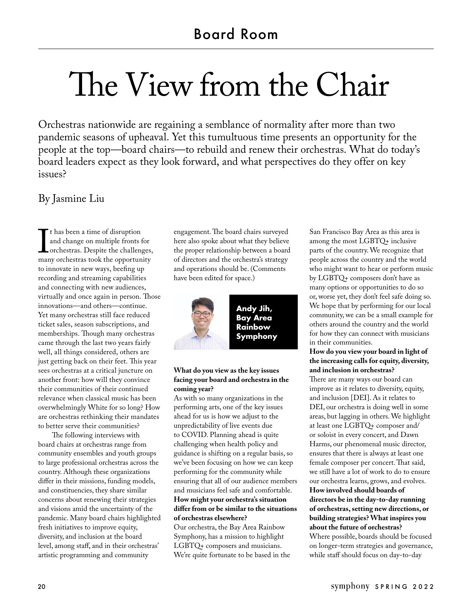# The View from the Chair

Orchestras nationwide are regaining a semblance of normality after more than two pandemic seasons of upheaval. Yet this tumultuous time presents an opportunity for the people at the top—board chairs—to rebuild and renew their orchestras. What do today's board leaders expect as they look forward, and what perspectives do they offer on key issues?

# By Jasmine Liu

I chas been a time of distiprion<br>and change on multiple fronts for<br>orchestras. Despite the challenges,<br>many orchestras took the opportunity t has been a time of disruption and change on multiple fronts for orchestras. Despite the challenges, to innovate in new ways, beefing up recording and streaming capabilities and connecting with new audiences, virtually and once again in person. Those innovations—and others—continue. Yet many orchestras still face reduced ticket sales, season subscriptions, and memberships. Though many orchestras came through the last two years fairly well, all things considered, others are just getting back on their feet. This year sees orchestras at a critical juncture on another front: how will they convince their communities of their continued relevance when classical music has been overwhelmingly White for so long? How are orchestras rethinking their mandates to better serve their communities?

The following interviews with board chairs at orchestras range from community ensembles and youth groups to large professional orchestras across the country. Although these organizations differ in their missions, funding models, and constituencies, they share similar concerns about renewing their strategies and visions amid the uncertainty of the pandemic. Many board chairs highlighted fresh initiatives to improve equity, diversity, and inclusion at the board level, among staff, and in their orchestras' artistic programming and community

engagement. The board chairs surveyed here also spoke about what they believe the proper relationship between a board of directors and the orchestra's strategy and operations should be. (Comments have been edited for space.)



# **What do you view as the key issues facing your board and orchestra in the coming year?**

As with so many organizations in the performing arts, one of the key issues ahead for us is how we adjust to the unpredictability of live events due to COVID. Planning ahead is quite challenging when health policy and guidance is shifting on a regular basis, so we've been focusing on how we can keep performing for the community while ensuring that all of our audience members and musicians feel safe and comfortable. **How might your orchestra's situation differ from or be similar to the situations of orchestras elsewhere?**

Our orchestra, the Bay Area Rainbow Symphony, has a mission to highlight LGBTQ+ composers and musicians. We're quite fortunate to be based in the

San Francisco Bay Area as this area is among the most LGBTQ+ inclusive parts of the country. We recognize that people across the country and the world who might want to hear or perform music by LGBTQ+ composers don't have as many options or opportunities to do so or, worse yet, they don't feel safe doing so. We hope that by performing for our local community, we can be a small example for others around the country and the world for how they can connect with musicians in their communities.

# **How do you view your board in light of the increasing calls for equity, diversity, and inclusion in orchestras?**

There are many ways our board can improve as it relates to diversity, equity, and inclusion [DEI]. As it relates to DEI, our orchestra is doing well in some areas, but lagging in others. We highlight at least one LGBTQ+ composer and/ or soloist in every concert, and Dawn Harms, our phenomenal music director, ensures that there is always at least one female composer per concert. That said, we still have a lot of work to do to ensure our orchestra learns, grows, and evolves. **How involved should boards of directors be in the day-to-day running of orchestras, setting new directions, or building strategies? What inspires you about the future of orchestras?** Where possible, boards should be focused on longer-term strategies and governance,

while staff should focus on day-to-day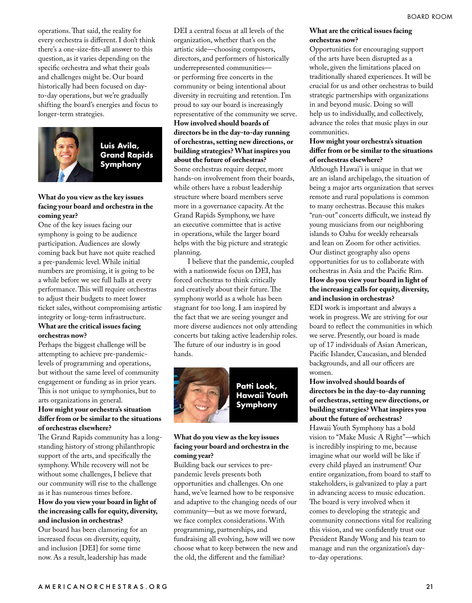operations. That said, the reality for every orchestra is different. I don't think there's a one-size-fits-all answer to this question, as it varies depending on the specific orchestra and what their goals and challenges might be. Our board historically had been focused on dayto-day operations, but we're gradually shifting the board's energies and focus to longer-term strategies.



# **Luis Avila, Grand Rapids Symphony**

#### **What do you view as the key issues facing your board and orchestra in the coming year?**

One of the key issues facing our symphony is going to be audience participation. Audiences are slowly coming back but have not quite reached a pre-pandemic level. While initial numbers are promising, it is going to be a while before we see full halls at every performance. This will require orchestras to adjust their budgets to meet lower ticket sales, without compromising artistic integrity or long-term infrastructure. **What are the critical issues facing orchestras now?**

Perhaps the biggest challenge will be attempting to achieve pre-pandemiclevels of programming and operations, but without the same level of community engagement or funding as in prior years. This is not unique to symphonies, but to arts organizations in general.

#### **How might your orchestra's situation differ from or be similar to the situations of orchestras elsewhere?**

The Grand Rapids community has a longstanding history of strong philanthropic support of the arts, and specifically the symphony. While recovery will not be without some challenges, I believe that our community will rise to the challenge as it has numerous times before.

#### **How do you view your board in light of the increasing calls for equity, diversity, and inclusion in orchestras?**

Our board has been clamoring for an increased focus on diversity, equity, and inclusion [DEI] for some time now. As a result, leadership has made

DEI a central focus at all levels of the organization, whether that's on the artistic side—choosing composers, directors, and performers of historically underrepresented communities or performing free concerts in the community or being intentional about diversity in recruiting and retention. I'm proud to say our board is increasingly representative of the community we serve.

#### **How involved should boards of directors be in the day-to-day running of orchestras, setting new directions, or building strategies? What inspires you about the future of orchestras?**

Some orchestras require deeper, more hands-on involvement from their boards, while others have a robust leadership structure where board members serve more in a governance capacity. At the Grand Rapids Symphony, we have an executive committee that is active in operations, while the larger board helps with the big picture and strategic planning.

I believe that the pandemic, coupled with a nationwide focus on DEI, has forced orchestras to think critically and creatively about their future. The symphony world as a whole has been stagnant for too long. I am inspired by the fact that we are seeing younger and more diverse audiences not only attending concerts but taking active leadership roles. The future of our industry is in good hands.



# **Patti Look, Hawaii Youth Symphony**

## **What do you view as the key issues facing your board and orchestra in the coming year?**

Building back our services to prepandemic levels presents both opportunities and challenges. On one hand, we've learned how to be responsive and adaptive to the changing needs of our community—but as we move forward, we face complex considerations. With programming, partnerships, and fundraising all evolving, how will we now choose what to keep between the new and the old, the different and the familiar?

#### **What are the critical issues facing orchestras now?**

Opportunities for encouraging support of the arts have been disrupted as a whole, given the limitations placed on traditionally shared experiences. It will be crucial for us and other orchestras to build strategic partnerships with organizations in and beyond music. Doing so will help us to individually, and collectively, advance the roles that music plays in our communities.

## **How might your orchestra's situation differ from or be similar to the situations of orchestras elsewhere?**

Although Hawai'i is unique in that we are an island archipelago, the situation of being a major arts organization that serves remote and rural populations is common to many orchestras. Because this makes "run-out" concerts difficult, we instead fly young musicians from our neighboring islands to Oahu for weekly rehearsals and lean on Zoom for other activities. Our distinct geography also opens opportunities for us to collaborate with orchestras in Asia and the Pacific Rim. **How do you view your board in light of the increasing calls for equity, diversity, and inclusion in orchestras?**

EDI work is important and always a work in progress. We are striving for our board to reflect the communities in which we serve. Presently, our board is made up of 17 individuals of Asian American, Pacific Islander, Caucasian, and blended backgrounds, and all our officers are women.

**How involved should boards of directors be in the day-to-day running of orchestras, setting new directions, or building strategies? What inspires you about the future of orchestras?** Hawaii Youth Symphony has a bold vision to "Make Music A Right"—which is incredibly inspiring to me, because imagine what our world will be like if every child played an instrument! Our entire organization, from board to staff to stakeholders, is galvanized to play a part in advancing access to music education. The board is very involved when it comes to developing the strategic and community connections vital for realizing this vision, and we confidently trust our President Randy Wong and his team to manage and run the organization's dayto-day operations.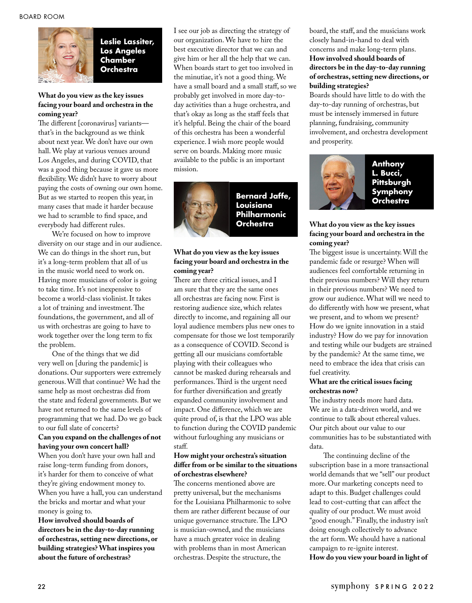

**Leslie Lassiter, Los Angeles Chamber Orchestra** 

#### **What do you view as the key issues facing your board and orchestra in the coming year?**

The different [coronavirus] variants that's in the background as we think about next year. We don't have our own hall. We play at various venues around Los Angeles, and during COVID, that was a good thing because it gave us more flexibility. We didn't have to worry about paying the costs of owning our own home. But as we started to reopen this year, in many cases that made it harder because we had to scramble to find space, and everybody had different rules.

We're focused on how to improve diversity on our stage and in our audience. We can do things in the short run, but it's a long-term problem that all of us in the music world need to work on. Having more musicians of color is going to take time. It's not inexpensive to become a world-class violinist. It takes a lot of training and investment. The foundations, the government, and all of us with orchestras are going to have to work together over the long term to fix the problem.

One of the things that we did very well on [during the pandemic] is donations. Our supporters were extremely generous. Will that continue? We had the same help as most orchestras did from the state and federal governments. But we have not returned to the same levels of programming that we had. Do we go back to our full slate of concerts?

#### **Can you expand on the challenges of not having your own concert hall?**

When you don't have your own hall and raise long-term funding from donors, it's harder for them to conceive of what they're giving endowment money to. When you have a hall, you can understand the bricks and mortar and what your money is going to.

**How involved should boards of directors be in the day-to-day running of orchestras, setting new directions, or building strategies? What inspires you about the future of orchestras?**

I see our job as directing the strategy of our organization. We have to hire the best executive director that we can and give him or her all the help that we can. When boards start to get too involved in the minutiae, it's not a good thing. We have a small board and a small staff, so we probably get involved in more day-today activities than a huge orchestra, and that's okay as long as the staff feels that it's helpful. Being the chair of the board of this orchestra has been a wonderful experience. I wish more people would serve on boards. Making more music available to the public is an important mission.



**Bernard Jaffe, Louisiana Philharmonic Orchestra**

## **What do you view as the key issues facing your board and orchestra in the coming year?**

There are three critical issues, and I am sure that they are the same ones all orchestras are facing now. First is restoring audience size, which relates directly to income, and regaining all our loyal audience members plus new ones to compensate for those we lost temporarily as a consequence of COVID. Second is getting all our musicians comfortable playing with their colleagues who cannot be masked during rehearsals and performances. Third is the urgent need for further diversification and greatly expanded community involvement and impact. One difference, which we are quite proud of, is that the LPO was able to function during the COVID pandemic without furloughing any musicians or staff.

#### **How might your orchestra's situation differ from or be similar to the situations of orchestras elsewhere?**

The concerns mentioned above are pretty universal, but the mechanisms for the Louisiana Philharmonic to solve them are rather different because of our unique governance structure. The LPO is musician-owned, and the musicians have a much greater voice in dealing with problems than in most American orchestras. Despite the structure, the

board, the staff, and the musicians work closely hand-in-hand to deal with concerns and make long-term plans. **How involved should boards of directors be in the day-to-day running of orchestras, setting new directions, or building strategies?** 

Boards should have little to do with the day-to-day running of orchestras, but must be intensely immersed in future planning, fundraising, community involvement, and orchestra development and prosperity.



# **Anthony L. Bucci, Pittsburgh Symphony Orchestra**

## **What do you view as the key issues facing your board and orchestra in the coming year?**

The biggest issue is uncertainty. Will the pandemic fade or resurge? When will audiences feel comfortable returning in their previous numbers? Will they return in their previous numbers? We need to grow our audience. What will we need to do differently with how we present, what we present, and to whom we present? How do we ignite innovation in a staid industry? How do we pay for innovation and testing while our budgets are strained by the pandemic? At the same time, we need to embrace the idea that crisis can fuel creativity.

#### **What are the critical issues facing orchestras now?**

The industry needs more hard data. We are in a data-driven world, and we continue to talk about ethereal values. Our pitch about our value to our communities has to be substantiated with data.

The continuing decline of the subscription base in a more transactional world demands that we "sell" our product more. Our marketing concepts need to adapt to this. Budget challenges could lead to cost-cutting that can affect the quality of our product. We must avoid "good enough." Finally, the industry isn't doing enough collectively to advance the art form. We should have a national campaign to re-ignite interest. **How do you view your board in light of**